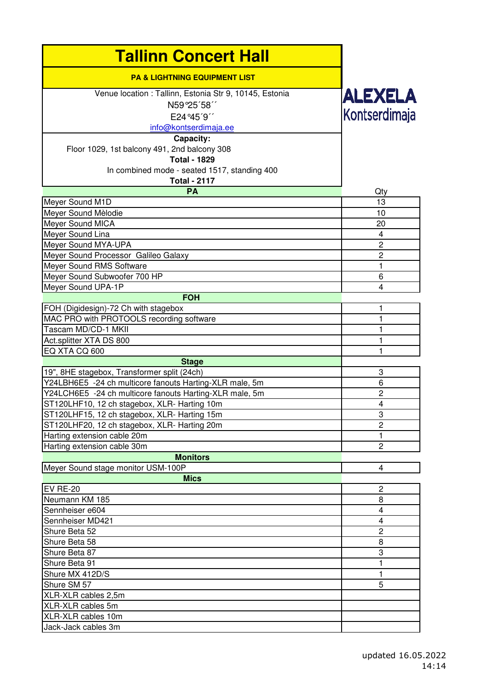| <b>Tallinn Concert Hall</b>                                                        |                                 |
|------------------------------------------------------------------------------------|---------------------------------|
| <b>PA &amp; LIGHTNING EQUIPMENT LIST</b>                                           |                                 |
| Venue location : Tallinn, Estonia Str 9, 10145, Estonia<br>N59°25'58"<br>E24°45'9" | <b>ALEXELA</b><br>Kontserdimaja |
| info@kontserdimaja.ee                                                              |                                 |
| Capacity:<br>Floor 1029, 1st balcony 491, 2nd balcony 308<br><b>Total - 1829</b>   |                                 |
| In combined mode - seated 1517, standing 400<br><b>Total - 2117</b>                |                                 |
| <b>PA</b>                                                                          | Qty                             |
| Meyer Sound M1D                                                                    | 13                              |
| Meyer Sound Mèlodie                                                                | 10                              |
| Meyer Sound MICA                                                                   | 20                              |
| Meyer Sound Lina                                                                   | 4                               |
| Meyer Sound MYA-UPA                                                                | $\overline{c}$                  |
| Meyer Sound Processor Galileo Galaxy                                               | $\overline{c}$                  |
| Meyer Sound RMS Software                                                           | 1                               |
| Meyer Sound Subwoofer 700 HP                                                       | 6                               |
| Meyer Sound UPA-1P                                                                 | 4                               |
| <b>FOH</b>                                                                         |                                 |
| FOH (Digidesign)-72 Ch with stagebox                                               | 1                               |
| MAC PRO with PROTOOLS recording software                                           | $\mathbf{1}$                    |
| Tascam MD/CD-1 MKII                                                                | 1                               |
| Act.splitter XTA DS 800                                                            | $\mathbf{1}$                    |
| EQ XTA CQ 600                                                                      | 1                               |
| <b>Stage</b>                                                                       |                                 |
| 19", 8HE stagebox, Transformer split (24ch)                                        | 3                               |
| Y24LBH6E5 -24 ch multicore fanouts Harting-XLR male, 5m                            | 6                               |
| Y24LCH6E5 -24 ch multicore fanouts Harting-XLR male, 5m                            | $\mathbf 2$                     |
| ST120LHF10, 12 ch stagebox, XLR- Harting 10m                                       | $\overline{4}$                  |
| ST120LHF15, 12 ch stagebox, XLR- Harting 15m                                       | 3                               |
| ST120LHF20, 12 ch stagebox, XLR- Harting 20m                                       | $\mathbf 2$                     |
| Harting extension cable 20m                                                        | 1                               |
| Harting extension cable 30m                                                        | $\overline{c}$                  |
| <b>Monitors</b>                                                                    |                                 |
| Meyer Sound stage monitor USM-100P                                                 | 4                               |
| <b>Mics</b>                                                                        |                                 |
| <b>EV RE-20</b>                                                                    | $\overline{c}$                  |
| Neumann KM 185                                                                     | 8                               |
| Sennheiser e604                                                                    | $\overline{\mathbf{4}}$         |
| Sennheiser MD421                                                                   | 4                               |
| Shure Beta 52                                                                      | $\overline{c}$                  |
| Shure Beta 58                                                                      | 8                               |
| Shure Beta 87                                                                      | 3                               |
| Shure Beta 91                                                                      | 1                               |
| Shure MX 412D/S                                                                    | 1                               |
| Shure SM 57                                                                        | 5                               |
| XLR-XLR cables 2,5m                                                                |                                 |
| XLR-XLR cables 5m                                                                  |                                 |
| XLR-XLR cables 10m                                                                 |                                 |
| Jack-Jack cables 3m                                                                |                                 |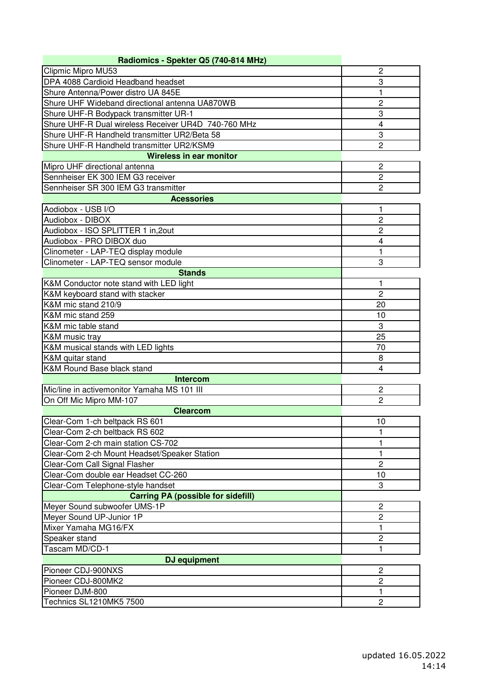| Radiomics - Spekter Q5 (740-814 MHz)                |                |
|-----------------------------------------------------|----------------|
| Clipmic Mipro MU53                                  | $\overline{2}$ |
| DPA 4088 Cardioid Headband headset                  | 3              |
| Shure Antenna/Power distro UA 845E                  | 1              |
| Shure UHF Wideband directional antenna UA870WB      | 2              |
| Shure UHF-R Bodypack transmitter UR-1               | 3              |
| Shure UHF-R Dual wireless Receiver UR4D 740-760 MHz | 4              |
| Shure UHF-R Handheld transmitter UR2/Beta 58        | 3              |
| Shure UHF-R Handheld transmitter UR2/KSM9           | $\overline{2}$ |
| <b>Wireless in ear monitor</b>                      |                |
| Mipro UHF directional antenna                       | $\overline{2}$ |
| Sennheiser EK 300 IEM G3 receiver                   | $\overline{c}$ |
| Sennheiser SR 300 IEM G3 transmitter                | $\overline{2}$ |
| <b>Acessories</b>                                   |                |
| Aodiobox - USB I/O                                  | 1              |
| Audiobox - DIBOX                                    | $\overline{c}$ |
| Audiobox - ISO SPLITTER 1 in, 20ut                  | 2              |
| Audiobox - PRO DIBOX duo                            | 4              |
| Clinometer - LAP-TEQ display module                 | 1              |
| Clinometer - LAP-TEQ sensor module                  | 3              |
| <b>Stands</b>                                       |                |
| K&M Conductor note stand with LED light             | 1              |
| K&M keyboard stand with stacker                     | $\overline{c}$ |
| K&M mic stand 210/9                                 | 20             |
| K&M mic stand 259                                   | 10             |
| K&M mic table stand                                 | 3              |
| K&M music tray                                      | 25             |
| K&M musical stands with LED lights                  | 70             |
| K&M quitar stand                                    | 8              |
| K&M Round Base black stand                          | 4              |
| <b>Intercom</b>                                     |                |
| Mic/line in activemonitor Yamaha MS 101 III         | $\overline{c}$ |
| On Off Mic Mipro MM-107                             | $\overline{2}$ |
| <b>Clearcom</b>                                     |                |
| Clear-Com 1-ch beltpack RS 601                      | 10             |
| Clear-Com 2-ch beltback RS 602                      | 1              |
| Clear-Com 2-ch main station CS-702                  | 1              |
| Clear-Com 2-ch Mount Headset/Speaker Station        | 1              |
| Clear-Com Call Signal Flasher                       | $\overline{c}$ |
| Clear-Com double ear Headset CC-260                 | 10             |
| Clear-Com Telephone-style handset                   | 3              |
| <b>Carring PA (possible for sidefill)</b>           |                |
| Meyer Sound subwoofer UMS-1P                        | $\overline{c}$ |
| Meyer Sound UP-Junior 1P                            | $\overline{c}$ |
| Mixer Yamaha MG16/FX                                | 1              |
| Speaker stand                                       | 2              |
| Tascam MD/CD-1                                      | 1              |
| DJ equipment                                        |                |
| Pioneer CDJ-900NXS                                  | $\overline{c}$ |
| Pioneer CDJ-800MK2                                  | $\overline{2}$ |
| Pioneer DJM-800                                     | 1              |
| Technics SL1210MK5 7500                             | $\overline{c}$ |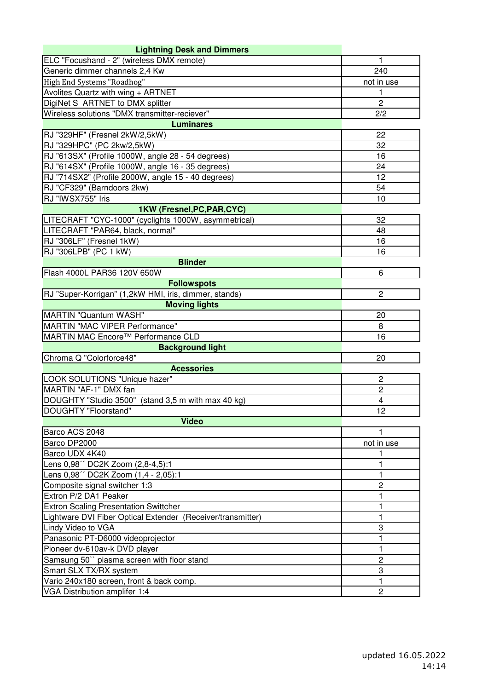| <b>Lightning Desk and Dimmers</b>                           |                         |
|-------------------------------------------------------------|-------------------------|
| ELC "Focushand - 2" (wireless DMX remote)                   | 1                       |
| Generic dimmer channels 2,4 Kw                              | 240                     |
| High End Systems "Roadhog"                                  | not in use              |
| Avolites Quartz with wing + ARTNET                          | 1                       |
| DigiNet S ARTNET to DMX splitter                            | $\overline{2}$          |
| Wireless solutions "DMX transmitter-reciever"               | 2/2                     |
| <b>Luminares</b>                                            |                         |
| RJ "329HF" (Fresnel 2kW/2,5kW)                              | 22                      |
| RJ "329HPC" (PC 2kw/2,5kW)                                  | 32                      |
| RJ "613SX" (Profile 1000W, angle 28 - 54 degrees)           | 16                      |
| RJ "614SX" (Profile 1000W, angle 16 - 35 degrees)           | 24                      |
| RJ "714SX2" (Profile 2000W, angle 15 - 40 degrees)          | 12                      |
| RJ "CF329" (Barndoors 2kw)                                  | 54                      |
| RJ "IWSX755" Iris                                           | 10                      |
| 1KW (Fresnel, PC, PAR, CYC)                                 |                         |
| LITECRAFT "CYC-1000" (cyclights 1000W, asymmetrical)        | 32                      |
| LITECRAFT "PAR64, black, normal"                            | 48                      |
| RJ "306LF" (Fresnel 1kW)                                    | 16                      |
| RJ "306LPB" (PC 1 kW)                                       | 16                      |
| <b>Blinder</b>                                              |                         |
| Flash 4000L PAR36 120V 650W                                 | 6                       |
| <b>Followspots</b>                                          |                         |
| RJ "Super-Korrigan" (1,2kW HMI, iris, dimmer, stands)       | $\mathbf{2}$            |
| <b>Moving lights</b>                                        |                         |
| MARTIN "Quantum WASH"                                       | 20                      |
| MARTIN "MAC VIPER Performance"                              | 8                       |
| MARTIN MAC Encore™ Performance CLD                          | 16                      |
| <b>Background light</b>                                     |                         |
| Chroma Q "Colorforce48"                                     | 20                      |
| <b>Acessories</b>                                           |                         |
| LOOK SOLUTIONS "Unique hazer"                               | $\overline{c}$          |
| MARTIN "AF-1" DMX fan                                       | $\overline{2}$          |
| DOUGHTY "Studio 3500" (stand 3,5 m with max 40 kg)          | $\overline{\mathbf{4}}$ |
| DOUGHTY "Floorstand"                                        | 12                      |
| <b>Video</b>                                                |                         |
| Barco ACS 2048                                              | 1                       |
| Barco DP2000                                                | not in use              |
| Barco UDX 4K40                                              | 1                       |
| Lens 0,98" DC2K Zoom (2,8-4,5):1                            | 1                       |
| Lens 0,98" DC2K Zoom (1,4 - 2,05):1                         | 1                       |
| Composite signal switcher 1:3                               | $\overline{c}$          |
| Extron P/2 DA1 Peaker                                       | 1                       |
| <b>Extron Scaling Presentation Swittcher</b>                | 1                       |
| Lightware DVI Fiber Optical Extender (Receiver/transmitter) | 1                       |
| Lindy Video to VGA                                          | 3                       |
| Panasonic PT-D6000 videoprojector                           | 1                       |
| Pioneer dv-610av-k DVD player                               | 1                       |
| Samsung 50" plasma screen with floor stand                  | $\overline{c}$          |
| Smart SLX TX/RX system                                      | 3                       |
| Vario 240x180 screen, front & back comp.                    | 1                       |
| VGA Distribution amplifer 1:4                               | $\mathbf{2}$            |
|                                                             |                         |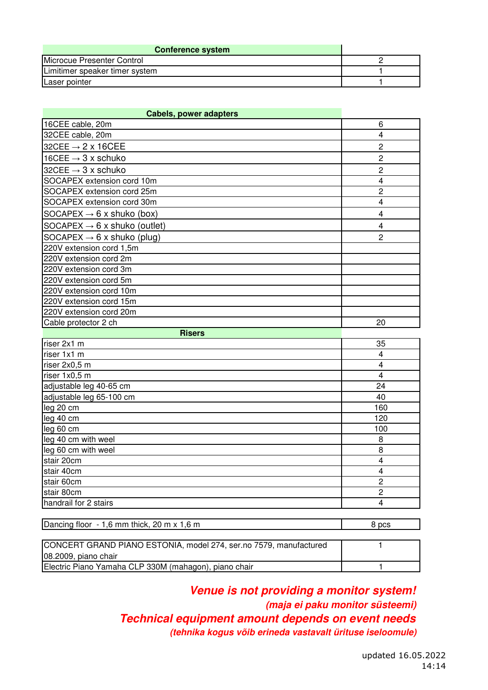| <b>Conference system</b>       |  |
|--------------------------------|--|
| Microcue Presenter Control     |  |
| Limitimer speaker timer system |  |
| Laser pointer                  |  |

| <b>Cabels, power adapters</b>            |                         |
|------------------------------------------|-------------------------|
| 16CEE cable, 20m                         | 6                       |
| 32CEE cable, 20m                         | $\overline{4}$          |
| 32CEE $\rightarrow$ 2 x 16CEE            | $\overline{c}$          |
| 16CEE $\rightarrow$ 3 x schuko           | $\overline{2}$          |
| 32CEE $\rightarrow$ 3 x schuko           | $\overline{c}$          |
| SOCAPEX extension cord 10m               | $\overline{4}$          |
| SOCAPEX extension cord 25m               | $\overline{c}$          |
| SOCAPEX extension cord 30m               | 4                       |
| SOCAPEX $\rightarrow$ 6 x shuko (box)    | 4                       |
| SOCAPEX $\rightarrow$ 6 x shuko (outlet) | 4                       |
| SOCAPEX $\rightarrow$ 6 x shuko (plug)   | $\overline{2}$          |
| 220V extension cord 1,5m                 |                         |
| 220V extension cord 2m                   |                         |
| 220V extension cord 3m                   |                         |
| 220V extension cord 5m                   |                         |
| 220V extension cord 10m                  |                         |
| 220V extension cord 15m                  |                         |
| 220V extension cord 20m                  |                         |
| Cable protector 2 ch                     | 20                      |
| <b>Risers</b>                            |                         |
| riser 2x1 m                              | 35                      |
| riser 1x1 m                              | $\overline{\mathbf{4}}$ |
| riser 2x0,5 m                            | $\overline{4}$          |
| riser 1x0,5 m                            | $\overline{4}$          |
| adjustable leg 40-65 cm                  | 24                      |
| adjustable leg 65-100 cm                 | 40                      |
| leg 20 cm                                | 160                     |
| leg 40 cm                                | 120                     |
| leg 60 cm                                | 100                     |
| leg 40 cm with weel                      | 8                       |
| leg 60 cm with weel                      | 8                       |
| stair 20cm                               | $\overline{\mathbf{4}}$ |
| stair 40cm                               | $\overline{\mathbf{4}}$ |
| stair 60cm                               | $\overline{c}$          |
| stair 80cm                               | $\overline{c}$          |
| handrail for 2 stairs                    | $\overline{4}$          |

| Dancing floor - 1,6 mm thick, 20 m x 1,6 m                        | 8 pcs |
|-------------------------------------------------------------------|-------|
|                                                                   |       |
| CONCERT GRAND PIANO ESTONIA, model 274, ser.no 7579, manufactured |       |
| 08.2009, piano chair                                              |       |

handrail for 2 stairs

| Electric Piano Yamaha CLP 330M (mahagon), piano chair |                                 |
|-------------------------------------------------------|---------------------------------|
|                                                       |                                 |
| Venue is not providing a monitor system!              |                                 |
|                                                       | (maja ei paku monitor süsteemi) |
| Technical equipment amount depends on event needs     |                                 |

**(tehnika kogus võib erineda vastavalt ürituse iseloomule)**